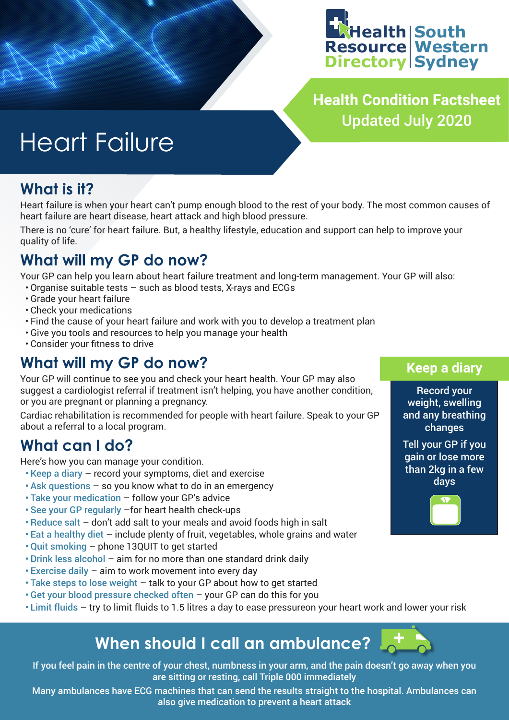

**Health Condition Factsheet** Updated July 2020

# Heart Failure

### **What is it?**

Heart failure is when your heart can't pump enough blood to the rest of your body. The most common causes of heart failure are heart disease, heart attack and high blood pressure.

There is no 'cure' for heart failure. But, a healthy lifestyle, education and support can help to improve your quality of life.

# **What will my GP do now?**

Your GP can help you learn about heart failure treatment and long-term management. Your GP will also:

- Organise suitable tests such as blood tests, X-rays and ECGs
- Grade your heart failure
- Check your medications
- Find the cause of your heart failure and work with you to develop a treatment plan
- Give you tools and resources to help you manage your health
- Consider your fitness to drive

## **What will my GP do now?**

Your GP will continue to see you and check your heart health. Your GP may also suggest a cardiologist referral if treatment isn't helping, you have another condition, or you are pregnant or planning a pregnancy.

Cardiac rehabilitation is recommended for people with heart failure. Speak to your GP about a referral to a local program.

## **What can I do?**

Here's how you can manage your condition.

- Keep a diary record your symptoms, diet and exercise
- Ask questions so you know what to do in an emergency
- Take your medication follow your GP's advice
- See your GP regularly –for heart health check-ups
- Reduce salt don't add salt to your meals and avoid foods high in salt
- Eat a healthy diet include plenty of fruit, vegetables, whole grains and water
- Quit smoking phone 13QUIT to get started
- Drink less alcohol aim for no more than one standard drink daily
- Exercise daily aim to work movement into every day
- Take steps to lose weight talk to your GP about how to get started
- Get your blood pressure checked often your GP can do this for you
- Limit fluids try to limit fluids to 1.5 litres a day to ease pressureon your heart work and lower your risk

# **When should I call an ambulance?**

If you feel pain in the centre of your chest, numbness in your arm, and the pain doesn't go away when you are sitting or resting, call Triple 000 immediately

Many ambulances have ECG machines that can send the results straight to the hospital. Ambulances can also give medication to prevent a heart attack

### **Keep a diary**

Record your weight, swelling and any breathing changes

Tell your GP if you gain or lose more than 2kg in a few days